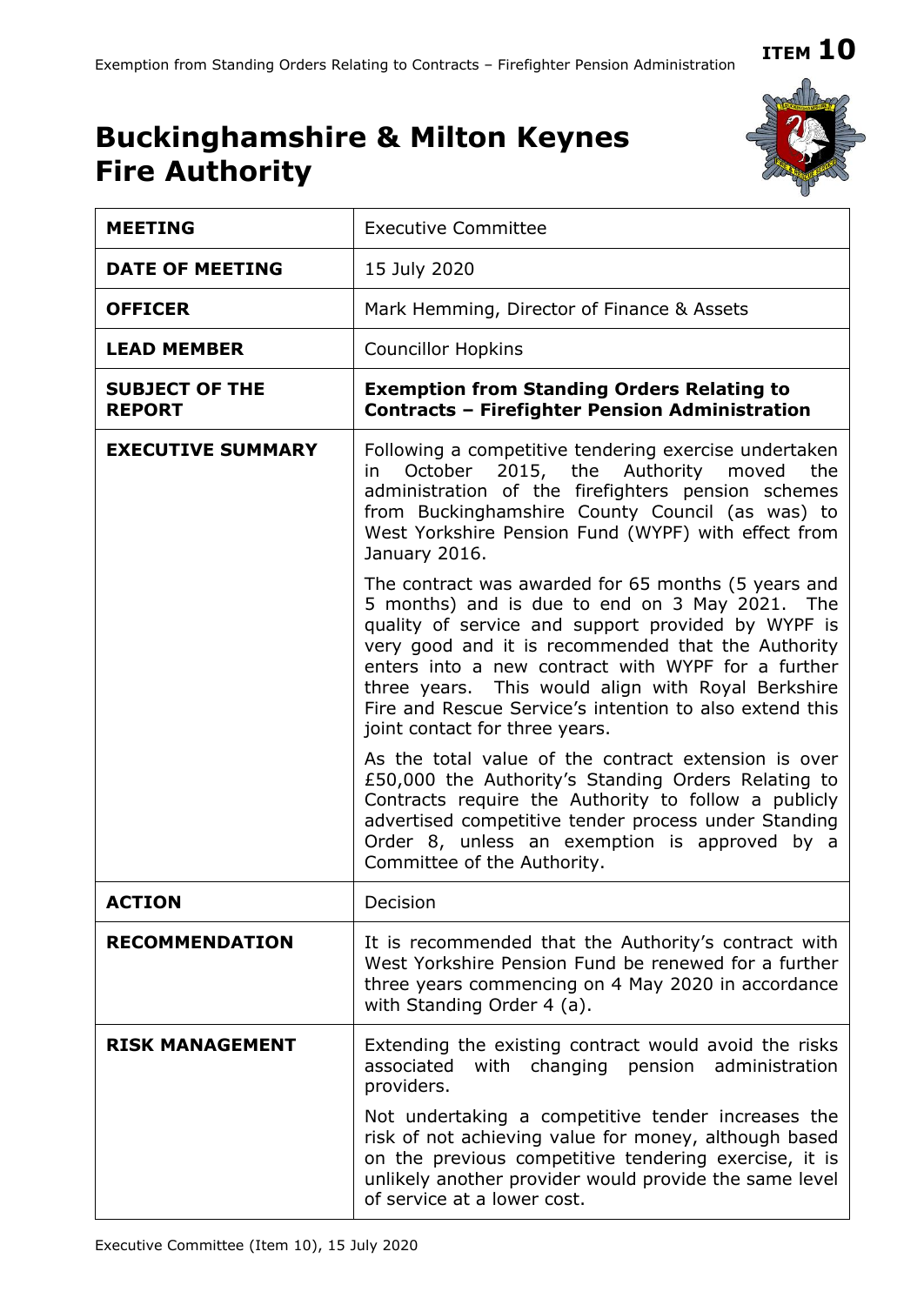## **ITEM 10**

## **Buckinghamshire & Milton Keynes Fire Authority**



| <b>Executive Committee</b>                                                                                                                                                                                                                                                                                                                                                                                                 |
|----------------------------------------------------------------------------------------------------------------------------------------------------------------------------------------------------------------------------------------------------------------------------------------------------------------------------------------------------------------------------------------------------------------------------|
| 15 July 2020                                                                                                                                                                                                                                                                                                                                                                                                               |
| Mark Hemming, Director of Finance & Assets                                                                                                                                                                                                                                                                                                                                                                                 |
| <b>Councillor Hopkins</b>                                                                                                                                                                                                                                                                                                                                                                                                  |
| <b>Exemption from Standing Orders Relating to</b><br><b>Contracts - Firefighter Pension Administration</b>                                                                                                                                                                                                                                                                                                                 |
| Following a competitive tendering exercise undertaken<br>2015, the Authority moved<br>October<br>the<br>in.<br>administration of the firefighters pension schemes<br>from Buckinghamshire County Council (as was) to<br>West Yorkshire Pension Fund (WYPF) with effect from<br>January 2016.                                                                                                                               |
| The contract was awarded for 65 months (5 years and<br>5 months) and is due to end on 3 May 2021. The<br>quality of service and support provided by WYPF is<br>very good and it is recommended that the Authority<br>enters into a new contract with WYPF for a further<br>three years. This would align with Royal Berkshire<br>Fire and Rescue Service's intention to also extend this<br>joint contact for three years. |
| As the total value of the contract extension is over<br>£50,000 the Authority's Standing Orders Relating to<br>Contracts require the Authority to follow a publicly<br>advertised competitive tender process under Standing<br>Order 8, unless an exemption is approved by a<br>Committee of the Authority.                                                                                                                |
| Decision                                                                                                                                                                                                                                                                                                                                                                                                                   |
| It is recommended that the Authority's contract with<br>West Yorkshire Pension Fund be renewed for a further<br>three years commencing on 4 May 2020 in accordance<br>with Standing Order 4 (a).                                                                                                                                                                                                                           |
| Extending the existing contract would avoid the risks<br>changing<br>associated<br>with<br>pension<br>administration<br>providers.<br>Not undertaking a competitive tender increases the<br>risk of not achieving value for money, although based<br>on the previous competitive tendering exercise, it is<br>unlikely another provider would provide the same level                                                       |
|                                                                                                                                                                                                                                                                                                                                                                                                                            |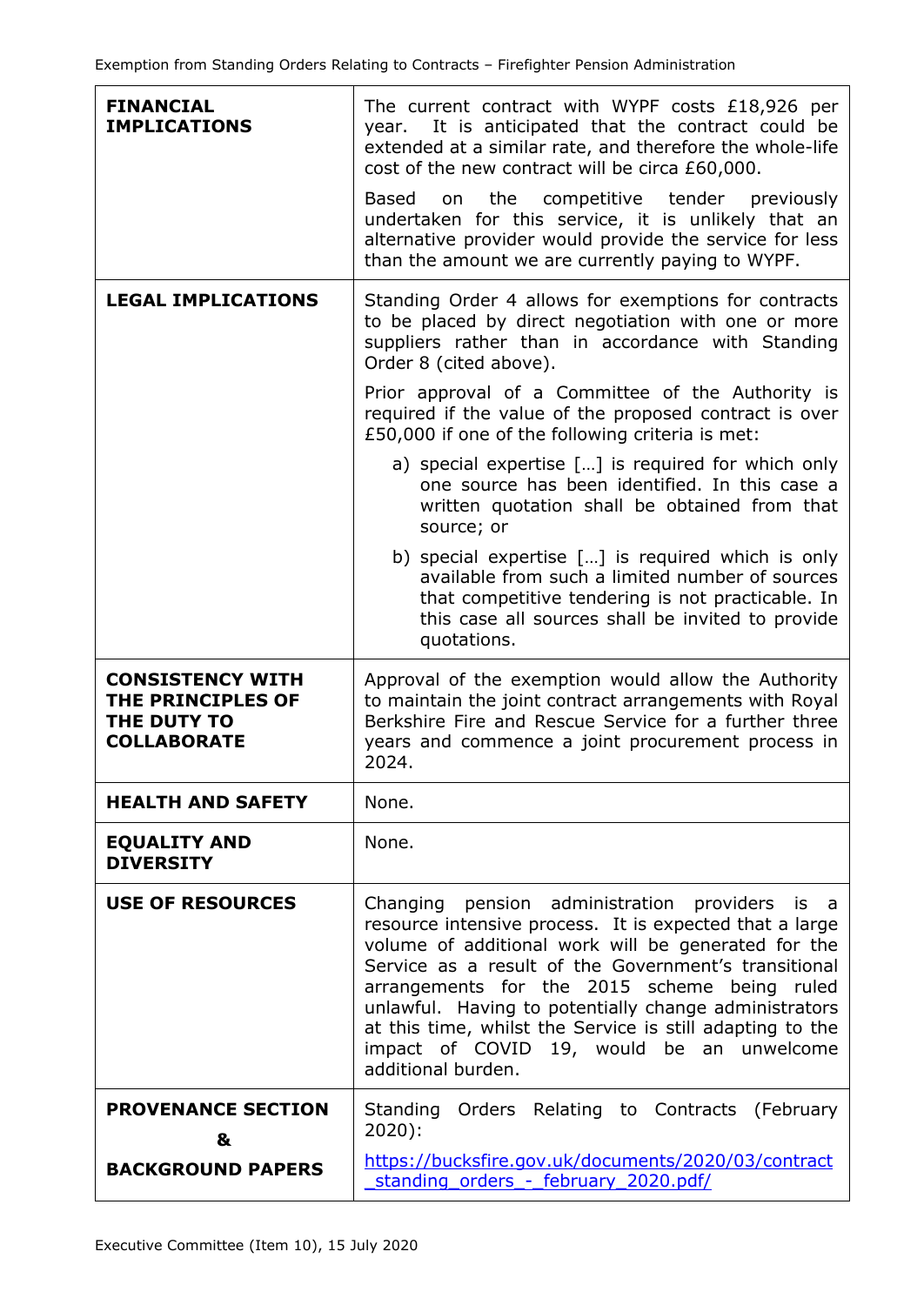| <b>FINANCIAL</b><br><b>IMPLICATIONS</b>                                           | The current contract with WYPF costs £18,926 per<br>It is anticipated that the contract could be<br>year.<br>extended at a similar rate, and therefore the whole-life<br>cost of the new contract will be circa £60,000.<br>Based<br>on the competitive tender previously<br>undertaken for this service, it is unlikely that an<br>alternative provider would provide the service for less<br>than the amount we are currently paying to WYPF.                   |
|-----------------------------------------------------------------------------------|-------------------------------------------------------------------------------------------------------------------------------------------------------------------------------------------------------------------------------------------------------------------------------------------------------------------------------------------------------------------------------------------------------------------------------------------------------------------|
| <b>LEGAL IMPLICATIONS</b>                                                         | Standing Order 4 allows for exemptions for contracts<br>to be placed by direct negotiation with one or more<br>suppliers rather than in accordance with Standing<br>Order 8 (cited above).<br>Prior approval of a Committee of the Authority is                                                                                                                                                                                                                   |
|                                                                                   | required if the value of the proposed contract is over<br>£50,000 if one of the following criteria is met:                                                                                                                                                                                                                                                                                                                                                        |
|                                                                                   | a) special expertise [] is required for which only<br>one source has been identified. In this case a<br>written quotation shall be obtained from that<br>source; or                                                                                                                                                                                                                                                                                               |
|                                                                                   | b) special expertise [] is required which is only<br>available from such a limited number of sources<br>that competitive tendering is not practicable. In<br>this case all sources shall be invited to provide<br>quotations.                                                                                                                                                                                                                                     |
| <b>CONSISTENCY WITH</b><br>THE PRINCIPLES OF<br>THE DUTY TO<br><b>COLLABORATE</b> | Approval of the exemption would allow the Authority<br>to maintain the joint contract arrangements with Royal<br>Berkshire Fire and Rescue Service for a further three<br>years and commence a joint procurement process in<br>2024.                                                                                                                                                                                                                              |
| <b>HEALTH AND SAFETY</b>                                                          | None.                                                                                                                                                                                                                                                                                                                                                                                                                                                             |
| <b>EQUALITY AND</b><br><b>DIVERSITY</b>                                           | None.                                                                                                                                                                                                                                                                                                                                                                                                                                                             |
| <b>USE OF RESOURCES</b>                                                           | Changing pension administration providers is a<br>resource intensive process. It is expected that a large<br>volume of additional work will be generated for the<br>Service as a result of the Government's transitional<br>arrangements for the 2015 scheme being ruled<br>unlawful. Having to potentially change administrators<br>at this time, whilst the Service is still adapting to the<br>impact of COVID 19, would be an unwelcome<br>additional burden. |
| <b>PROVENANCE SECTION</b><br>&                                                    | Standing Orders Relating to Contracts (February<br>$2020$ :                                                                                                                                                                                                                                                                                                                                                                                                       |
| <b>BACKGROUND PAPERS</b>                                                          | https://bucksfire.gov.uk/documents/2020/03/contract<br>standing orders - february 2020.pdf/                                                                                                                                                                                                                                                                                                                                                                       |